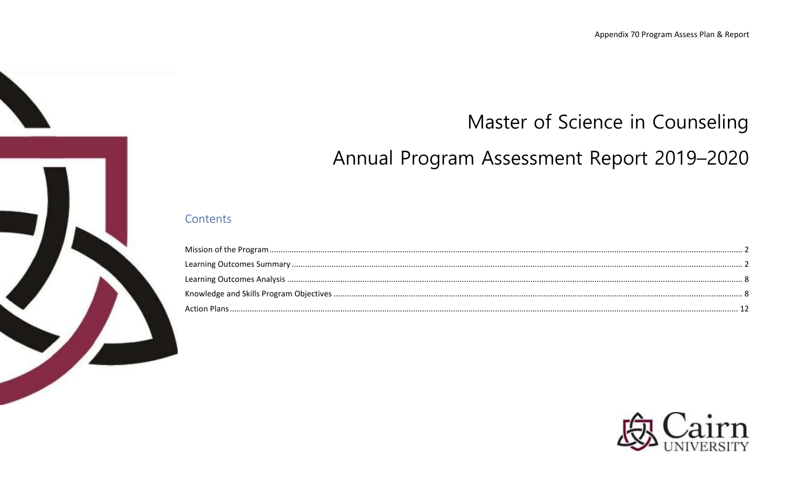# Master of Science in Counseling

# Annual Program Assessment Report 2019-2020

## Contents

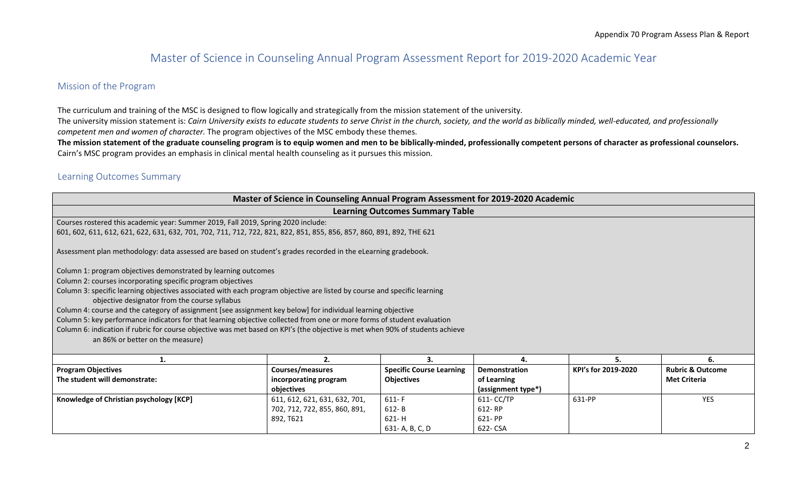# Master of Science in Counseling Annual Program Assessment Report for 2019-2020 Academic Year

### <span id="page-1-0"></span>Mission of the Program

The curriculum and training of the MSC is designed to flow logically and strategically from the mission statement of the university. The university mission statement is: *Cairn University exists to educate students to serve Christ in the church, society, and the world as biblically minded, well-educated, and professionally competent men and women of character.* The program objectives of the MSC embody these themes. **The mission statement of the graduate counseling program is to equip women and men to be biblically-minded, professionally competent persons of character as professional counselors.** 

Cairn's MSC program provides an emphasis in clinical mental health counseling as it pursues this mission.

## <span id="page-1-1"></span>Learning Outcomes Summary

|                                                                                                                               | Master of Science in Counseling Annual Program Assessment for 2019-2020 Academic |                                        |                    |                     |                             |
|-------------------------------------------------------------------------------------------------------------------------------|----------------------------------------------------------------------------------|----------------------------------------|--------------------|---------------------|-----------------------------|
|                                                                                                                               |                                                                                  | <b>Learning Outcomes Summary Table</b> |                    |                     |                             |
| Courses rostered this academic year: Summer 2019, Fall 2019, Spring 2020 include:                                             |                                                                                  |                                        |                    |                     |                             |
| 601, 602, 611, 612, 621, 622, 631, 632, 701, 702, 711, 712, 722, 821, 822, 851, 855, 856, 857, 860, 891, 892, THE 621         |                                                                                  |                                        |                    |                     |                             |
| Assessment plan methodology: data assessed are based on student's grades recorded in the eLearning gradebook.                 |                                                                                  |                                        |                    |                     |                             |
| Column 1: program objectives demonstrated by learning outcomes                                                                |                                                                                  |                                        |                    |                     |                             |
| Column 2: courses incorporating specific program objectives                                                                   |                                                                                  |                                        |                    |                     |                             |
| Column 3: specific learning objectives associated with each program objective are listed by course and specific learning      |                                                                                  |                                        |                    |                     |                             |
| objective designator from the course syllabus                                                                                 |                                                                                  |                                        |                    |                     |                             |
| Column 4: course and the category of assignment [see assignment key below] for individual learning objective                  |                                                                                  |                                        |                    |                     |                             |
| Column 5: key performance indicators for that learning objective collected from one or more forms of student evaluation       |                                                                                  |                                        |                    |                     |                             |
| Column 6: indication if rubric for course objective was met based on KPI's (the objective is met when 90% of students achieve |                                                                                  |                                        |                    |                     |                             |
| an 86% or better on the measure)                                                                                              |                                                                                  |                                        |                    |                     |                             |
|                                                                                                                               | 2.                                                                               | З.                                     | 4.                 | 5.                  | 6.                          |
| <b>Program Objectives</b>                                                                                                     | Courses/measures                                                                 | <b>Specific Course Learning</b>        | Demonstration      | KPI's for 2019-2020 | <b>Rubric &amp; Outcome</b> |
| The student will demonstrate:                                                                                                 | incorporating program                                                            | <b>Objectives</b>                      | of Learning        |                     | <b>Met Criteria</b>         |
|                                                                                                                               | objectives                                                                       |                                        | (assignment type*) |                     |                             |
| Knowledge of Christian psychology [KCP]                                                                                       | 611, 612, 621, 631, 632, 701,                                                    | $611-F$                                | 611- CC/TP         | 631-PP              | <b>YES</b>                  |
|                                                                                                                               | 702, 712, 722, 855, 860, 891,                                                    | 612- B                                 | 612-RP             |                     |                             |
|                                                                                                                               | 892, T621                                                                        | 621-H                                  | 621- PP            |                     |                             |
|                                                                                                                               |                                                                                  | 631-A, B, C, D                         | 622- CSA           |                     |                             |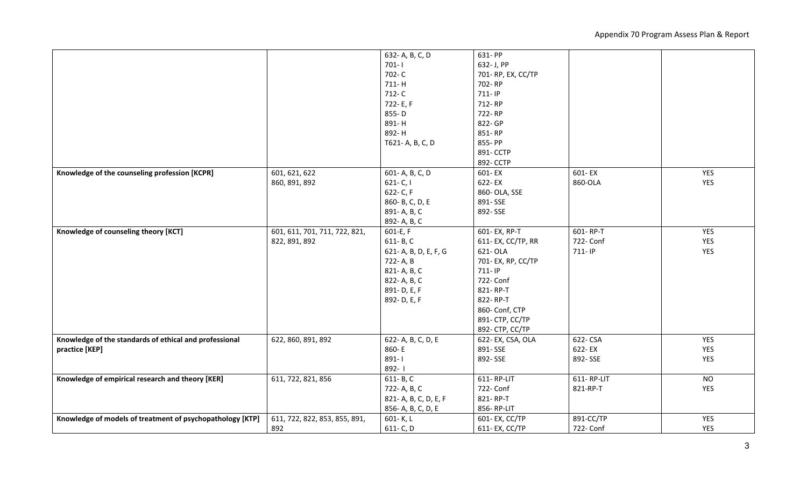Appendix 70 Program Assess Plan & Report

| $701 - 1$<br>632- J, PP<br>702-C<br>701-RP, EX, CC/TP<br>711-H<br>702-RP<br>712-C<br>711-IP<br>722-E, F<br>712-RP<br>722-RP<br>855-D<br>891-H<br>822- GP<br>892-H<br>851-RP<br>T621-A, B, C, D<br>855-PP<br>891- CCTP<br>892- CCTP<br>Knowledge of the counseling profession [KCPR]<br>601, 621, 622<br>601-A, B, C, D<br>601-EX<br>YES<br>601-EX<br>YES<br>622-EX<br>860-OLA<br>860, 891, 892<br>$621 - C, I$<br>622- C, F<br>860- OLA, SSE<br>860- B, C, D, E<br>891-SSE<br>891-A, B, C<br>892-SSE<br>892- A, B, C<br>Knowledge of counseling theory [KCT]<br>601, 611, 701, 711, 722, 821,<br>601- EX, RP-T<br>601-RP-T<br>YES<br>601-E, F<br>611- EX, CC/TP, RR<br>722- Conf<br>YES<br>822, 891, 892<br>611-B, C<br>711-IP<br>YES<br>621-A, B, D, E, F, G<br>621- OLA<br>722- A, B<br>701- EX, RP, CC/TP<br>821-A, B, C<br>711-IP<br>822- A, B, C<br>722- Conf<br>891-D, E, F<br>821-RP-T<br>822-RP-T<br>892-D, E, F<br>860- Conf, CTP<br>891- CTP, CC/TP<br>892- CTP, CC/TP<br>Knowledge of the standards of ethical and professional<br>622-CSA<br>YES<br>622, 860, 891, 892<br>622- A, B, C, D, E<br>622-EX, CSA, OLA<br>860-E<br>891-SSE<br>622-EX<br>YES<br>practice [KEP]<br>$891 - 1$<br>YES<br>892-SSE<br>892-SSE<br>892-1<br>611-RP-LIT<br>611-RP-LIT<br>Knowledge of empirical research and theory [KER]<br>611, 722, 821, 856<br>$611 - B, C$<br><b>NO</b><br>722- Conf<br>YES<br>722- A, B, C<br>821-RP-T<br>821-RP-T<br>821- A, B, C, D, E, F<br>856- A, B, C, D, E<br>856-RP-LIT<br><b>YES</b><br>891-CC/TP<br>Knowledge of models of treatment of psychopathology [KTP]<br>611, 722, 822, 853, 855, 891,<br>601- EX, CC/TP<br>601-K, L<br>892<br>611- C, D<br>722- Conf<br><b>YES</b><br>611- EX, CC/TP |  |                 |         |  |
|----------------------------------------------------------------------------------------------------------------------------------------------------------------------------------------------------------------------------------------------------------------------------------------------------------------------------------------------------------------------------------------------------------------------------------------------------------------------------------------------------------------------------------------------------------------------------------------------------------------------------------------------------------------------------------------------------------------------------------------------------------------------------------------------------------------------------------------------------------------------------------------------------------------------------------------------------------------------------------------------------------------------------------------------------------------------------------------------------------------------------------------------------------------------------------------------------------------------------------------------------------------------------------------------------------------------------------------------------------------------------------------------------------------------------------------------------------------------------------------------------------------------------------------------------------------------------------------------------------------------------------------------------------------------------------------------------------------------------|--|-----------------|---------|--|
|                                                                                                                                                                                                                                                                                                                                                                                                                                                                                                                                                                                                                                                                                                                                                                                                                                                                                                                                                                                                                                                                                                                                                                                                                                                                                                                                                                                                                                                                                                                                                                                                                                                                                                                            |  | 632- A, B, C, D | 631- PP |  |
|                                                                                                                                                                                                                                                                                                                                                                                                                                                                                                                                                                                                                                                                                                                                                                                                                                                                                                                                                                                                                                                                                                                                                                                                                                                                                                                                                                                                                                                                                                                                                                                                                                                                                                                            |  |                 |         |  |
|                                                                                                                                                                                                                                                                                                                                                                                                                                                                                                                                                                                                                                                                                                                                                                                                                                                                                                                                                                                                                                                                                                                                                                                                                                                                                                                                                                                                                                                                                                                                                                                                                                                                                                                            |  |                 |         |  |
|                                                                                                                                                                                                                                                                                                                                                                                                                                                                                                                                                                                                                                                                                                                                                                                                                                                                                                                                                                                                                                                                                                                                                                                                                                                                                                                                                                                                                                                                                                                                                                                                                                                                                                                            |  |                 |         |  |
|                                                                                                                                                                                                                                                                                                                                                                                                                                                                                                                                                                                                                                                                                                                                                                                                                                                                                                                                                                                                                                                                                                                                                                                                                                                                                                                                                                                                                                                                                                                                                                                                                                                                                                                            |  |                 |         |  |
|                                                                                                                                                                                                                                                                                                                                                                                                                                                                                                                                                                                                                                                                                                                                                                                                                                                                                                                                                                                                                                                                                                                                                                                                                                                                                                                                                                                                                                                                                                                                                                                                                                                                                                                            |  |                 |         |  |
|                                                                                                                                                                                                                                                                                                                                                                                                                                                                                                                                                                                                                                                                                                                                                                                                                                                                                                                                                                                                                                                                                                                                                                                                                                                                                                                                                                                                                                                                                                                                                                                                                                                                                                                            |  |                 |         |  |
|                                                                                                                                                                                                                                                                                                                                                                                                                                                                                                                                                                                                                                                                                                                                                                                                                                                                                                                                                                                                                                                                                                                                                                                                                                                                                                                                                                                                                                                                                                                                                                                                                                                                                                                            |  |                 |         |  |
|                                                                                                                                                                                                                                                                                                                                                                                                                                                                                                                                                                                                                                                                                                                                                                                                                                                                                                                                                                                                                                                                                                                                                                                                                                                                                                                                                                                                                                                                                                                                                                                                                                                                                                                            |  |                 |         |  |
|                                                                                                                                                                                                                                                                                                                                                                                                                                                                                                                                                                                                                                                                                                                                                                                                                                                                                                                                                                                                                                                                                                                                                                                                                                                                                                                                                                                                                                                                                                                                                                                                                                                                                                                            |  |                 |         |  |
|                                                                                                                                                                                                                                                                                                                                                                                                                                                                                                                                                                                                                                                                                                                                                                                                                                                                                                                                                                                                                                                                                                                                                                                                                                                                                                                                                                                                                                                                                                                                                                                                                                                                                                                            |  |                 |         |  |
|                                                                                                                                                                                                                                                                                                                                                                                                                                                                                                                                                                                                                                                                                                                                                                                                                                                                                                                                                                                                                                                                                                                                                                                                                                                                                                                                                                                                                                                                                                                                                                                                                                                                                                                            |  |                 |         |  |
|                                                                                                                                                                                                                                                                                                                                                                                                                                                                                                                                                                                                                                                                                                                                                                                                                                                                                                                                                                                                                                                                                                                                                                                                                                                                                                                                                                                                                                                                                                                                                                                                                                                                                                                            |  |                 |         |  |
|                                                                                                                                                                                                                                                                                                                                                                                                                                                                                                                                                                                                                                                                                                                                                                                                                                                                                                                                                                                                                                                                                                                                                                                                                                                                                                                                                                                                                                                                                                                                                                                                                                                                                                                            |  |                 |         |  |
|                                                                                                                                                                                                                                                                                                                                                                                                                                                                                                                                                                                                                                                                                                                                                                                                                                                                                                                                                                                                                                                                                                                                                                                                                                                                                                                                                                                                                                                                                                                                                                                                                                                                                                                            |  |                 |         |  |
|                                                                                                                                                                                                                                                                                                                                                                                                                                                                                                                                                                                                                                                                                                                                                                                                                                                                                                                                                                                                                                                                                                                                                                                                                                                                                                                                                                                                                                                                                                                                                                                                                                                                                                                            |  |                 |         |  |
|                                                                                                                                                                                                                                                                                                                                                                                                                                                                                                                                                                                                                                                                                                                                                                                                                                                                                                                                                                                                                                                                                                                                                                                                                                                                                                                                                                                                                                                                                                                                                                                                                                                                                                                            |  |                 |         |  |
|                                                                                                                                                                                                                                                                                                                                                                                                                                                                                                                                                                                                                                                                                                                                                                                                                                                                                                                                                                                                                                                                                                                                                                                                                                                                                                                                                                                                                                                                                                                                                                                                                                                                                                                            |  |                 |         |  |
|                                                                                                                                                                                                                                                                                                                                                                                                                                                                                                                                                                                                                                                                                                                                                                                                                                                                                                                                                                                                                                                                                                                                                                                                                                                                                                                                                                                                                                                                                                                                                                                                                                                                                                                            |  |                 |         |  |
|                                                                                                                                                                                                                                                                                                                                                                                                                                                                                                                                                                                                                                                                                                                                                                                                                                                                                                                                                                                                                                                                                                                                                                                                                                                                                                                                                                                                                                                                                                                                                                                                                                                                                                                            |  |                 |         |  |
|                                                                                                                                                                                                                                                                                                                                                                                                                                                                                                                                                                                                                                                                                                                                                                                                                                                                                                                                                                                                                                                                                                                                                                                                                                                                                                                                                                                                                                                                                                                                                                                                                                                                                                                            |  |                 |         |  |
|                                                                                                                                                                                                                                                                                                                                                                                                                                                                                                                                                                                                                                                                                                                                                                                                                                                                                                                                                                                                                                                                                                                                                                                                                                                                                                                                                                                                                                                                                                                                                                                                                                                                                                                            |  |                 |         |  |
|                                                                                                                                                                                                                                                                                                                                                                                                                                                                                                                                                                                                                                                                                                                                                                                                                                                                                                                                                                                                                                                                                                                                                                                                                                                                                                                                                                                                                                                                                                                                                                                                                                                                                                                            |  |                 |         |  |
|                                                                                                                                                                                                                                                                                                                                                                                                                                                                                                                                                                                                                                                                                                                                                                                                                                                                                                                                                                                                                                                                                                                                                                                                                                                                                                                                                                                                                                                                                                                                                                                                                                                                                                                            |  |                 |         |  |
|                                                                                                                                                                                                                                                                                                                                                                                                                                                                                                                                                                                                                                                                                                                                                                                                                                                                                                                                                                                                                                                                                                                                                                                                                                                                                                                                                                                                                                                                                                                                                                                                                                                                                                                            |  |                 |         |  |
|                                                                                                                                                                                                                                                                                                                                                                                                                                                                                                                                                                                                                                                                                                                                                                                                                                                                                                                                                                                                                                                                                                                                                                                                                                                                                                                                                                                                                                                                                                                                                                                                                                                                                                                            |  |                 |         |  |
|                                                                                                                                                                                                                                                                                                                                                                                                                                                                                                                                                                                                                                                                                                                                                                                                                                                                                                                                                                                                                                                                                                                                                                                                                                                                                                                                                                                                                                                                                                                                                                                                                                                                                                                            |  |                 |         |  |
|                                                                                                                                                                                                                                                                                                                                                                                                                                                                                                                                                                                                                                                                                                                                                                                                                                                                                                                                                                                                                                                                                                                                                                                                                                                                                                                                                                                                                                                                                                                                                                                                                                                                                                                            |  |                 |         |  |
|                                                                                                                                                                                                                                                                                                                                                                                                                                                                                                                                                                                                                                                                                                                                                                                                                                                                                                                                                                                                                                                                                                                                                                                                                                                                                                                                                                                                                                                                                                                                                                                                                                                                                                                            |  |                 |         |  |
|                                                                                                                                                                                                                                                                                                                                                                                                                                                                                                                                                                                                                                                                                                                                                                                                                                                                                                                                                                                                                                                                                                                                                                                                                                                                                                                                                                                                                                                                                                                                                                                                                                                                                                                            |  |                 |         |  |
|                                                                                                                                                                                                                                                                                                                                                                                                                                                                                                                                                                                                                                                                                                                                                                                                                                                                                                                                                                                                                                                                                                                                                                                                                                                                                                                                                                                                                                                                                                                                                                                                                                                                                                                            |  |                 |         |  |
|                                                                                                                                                                                                                                                                                                                                                                                                                                                                                                                                                                                                                                                                                                                                                                                                                                                                                                                                                                                                                                                                                                                                                                                                                                                                                                                                                                                                                                                                                                                                                                                                                                                                                                                            |  |                 |         |  |
|                                                                                                                                                                                                                                                                                                                                                                                                                                                                                                                                                                                                                                                                                                                                                                                                                                                                                                                                                                                                                                                                                                                                                                                                                                                                                                                                                                                                                                                                                                                                                                                                                                                                                                                            |  |                 |         |  |
|                                                                                                                                                                                                                                                                                                                                                                                                                                                                                                                                                                                                                                                                                                                                                                                                                                                                                                                                                                                                                                                                                                                                                                                                                                                                                                                                                                                                                                                                                                                                                                                                                                                                                                                            |  |                 |         |  |
|                                                                                                                                                                                                                                                                                                                                                                                                                                                                                                                                                                                                                                                                                                                                                                                                                                                                                                                                                                                                                                                                                                                                                                                                                                                                                                                                                                                                                                                                                                                                                                                                                                                                                                                            |  |                 |         |  |
|                                                                                                                                                                                                                                                                                                                                                                                                                                                                                                                                                                                                                                                                                                                                                                                                                                                                                                                                                                                                                                                                                                                                                                                                                                                                                                                                                                                                                                                                                                                                                                                                                                                                                                                            |  |                 |         |  |
|                                                                                                                                                                                                                                                                                                                                                                                                                                                                                                                                                                                                                                                                                                                                                                                                                                                                                                                                                                                                                                                                                                                                                                                                                                                                                                                                                                                                                                                                                                                                                                                                                                                                                                                            |  |                 |         |  |
|                                                                                                                                                                                                                                                                                                                                                                                                                                                                                                                                                                                                                                                                                                                                                                                                                                                                                                                                                                                                                                                                                                                                                                                                                                                                                                                                                                                                                                                                                                                                                                                                                                                                                                                            |  |                 |         |  |
|                                                                                                                                                                                                                                                                                                                                                                                                                                                                                                                                                                                                                                                                                                                                                                                                                                                                                                                                                                                                                                                                                                                                                                                                                                                                                                                                                                                                                                                                                                                                                                                                                                                                                                                            |  |                 |         |  |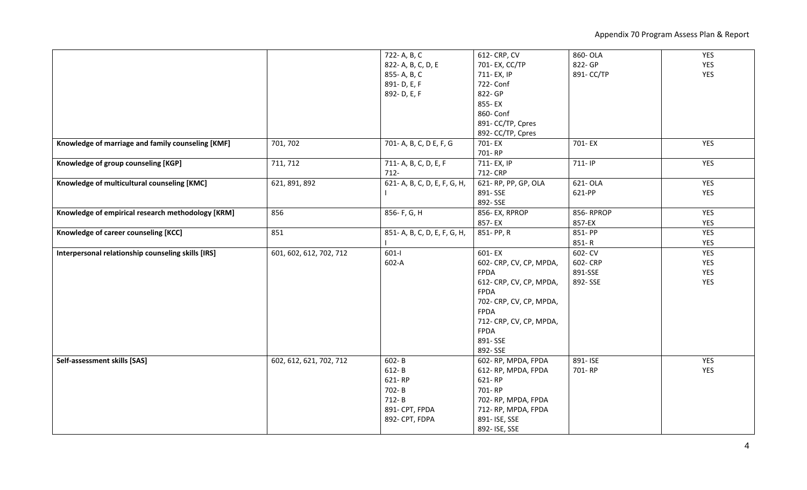Appendix 70 Program Assess Plan & Report

|                                                    |                         | 722- A, B, C                 | 612- CRP, CV            | 860- OLA   | YES        |
|----------------------------------------------------|-------------------------|------------------------------|-------------------------|------------|------------|
|                                                    |                         | 822- A, B, C, D, E           | 701- EX, CC/TP          | 822- GP    | <b>YES</b> |
|                                                    |                         | 855-A, B, C                  | 711- EX, IP             | 891- CC/TP | YES        |
|                                                    |                         | 891-D, E, F                  | 722- Conf               |            |            |
|                                                    |                         | 892-D, E, F                  | 822- GP                 |            |            |
|                                                    |                         |                              | 855-EX                  |            |            |
|                                                    |                         |                              | 860- Conf               |            |            |
|                                                    |                         |                              | 891- CC/TP, Cpres       |            |            |
|                                                    |                         |                              | 892- CC/TP, Cpres       |            |            |
| Knowledge of marriage and family counseling [KMF]  | 701, 702                | 701-A, B, C, D E, F, G       | 701-EX                  | 701-EX     | YES        |
|                                                    |                         |                              | 701-RP                  |            |            |
|                                                    | 711, 712                | 711- A, B, C, D, E, F        | 711- EX, IP             | 711-IP     | YES        |
| Knowledge of group counseling [KGP]                |                         | $712 -$                      | 712- CRP                |            |            |
|                                                    |                         |                              |                         |            |            |
| Knowledge of multicultural counseling [KMC]        | 621, 891, 892           | 621- A, B, C, D, E, F, G, H, | 621-RP, PP, GP, OLA     | 621- OLA   | YES        |
|                                                    |                         |                              | 891-SSE                 | 621-PP     | YES        |
|                                                    |                         |                              | 892-SSE                 |            |            |
| Knowledge of empirical research methodology [KRM]  | 856                     | 856- F, G, H                 | 856-EX, RPROP           | 856-RPROP  | <b>YES</b> |
|                                                    |                         |                              | 857-EX                  | 857-EX     | YES        |
| Knowledge of career counseling [KCC]               | 851                     | 851- A, B, C, D, E, F, G, H, | 851-PP, R               | 851-PP     | <b>YES</b> |
|                                                    |                         |                              |                         | $851 - R$  | YES        |
| Interpersonal relationship counseling skills [IRS] | 601, 602, 612, 702, 712 | $601-I$                      | 601-EX                  | 602- CV    | YES        |
|                                                    |                         | 602-A                        | 602- CRP, CV, CP, MPDA, | 602-CRP    | YES        |
|                                                    |                         |                              | <b>FPDA</b>             | 891-SSE    | YES        |
|                                                    |                         |                              | 612- CRP, CV, CP, MPDA, | 892-SSE    | YES        |
|                                                    |                         |                              | <b>FPDA</b>             |            |            |
|                                                    |                         |                              | 702- CRP, CV, CP, MPDA, |            |            |
|                                                    |                         |                              | FPDA                    |            |            |
|                                                    |                         |                              | 712- CRP, CV, CP, MPDA, |            |            |
|                                                    |                         |                              | <b>FPDA</b>             |            |            |
|                                                    |                         |                              | 891-SSE                 |            |            |
|                                                    |                         |                              | 892-SSE                 |            |            |
|                                                    |                         |                              |                         | 891-ISE    |            |
| Self-assessment skills [SAS]                       | 602, 612, 621, 702, 712 | 602-B                        | 602-RP, MPDA, FPDA      |            | YES        |
|                                                    |                         | 612-B                        | 612-RP, MPDA, FPDA      | 701-RP     | YES        |
|                                                    |                         | 621-RP                       | 621-RP                  |            |            |
|                                                    |                         | 702-B                        | 701-RP                  |            |            |
|                                                    |                         | $712 - B$                    | 702-RP, MPDA, FPDA      |            |            |
|                                                    |                         | 891- CPT, FPDA               | 712-RP, MPDA, FPDA      |            |            |
|                                                    |                         | 892- CPT, FDPA               | 891- ISE, SSE           |            |            |
|                                                    |                         |                              | 892- ISE, SSE           |            |            |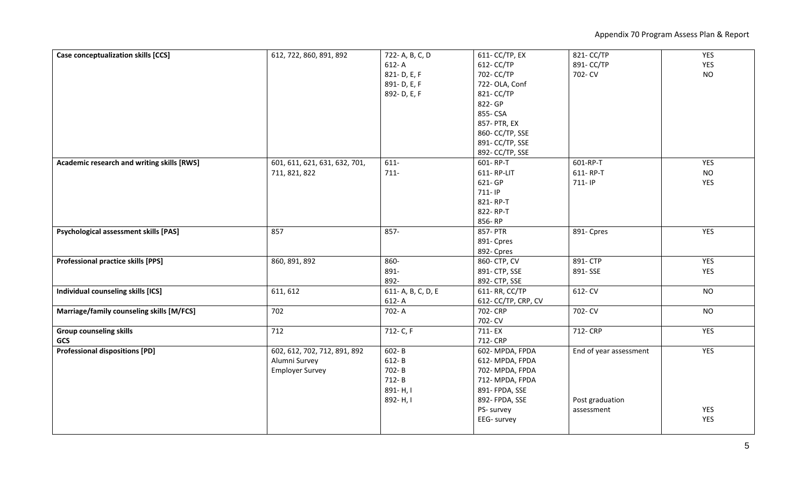Appendix 70 Program Assess Plan & Report

| Case conceptualization skills [CCS]          | 612, 722, 860, 891, 892       | 722- A, B, C, D   | 611- CC/TP, EX     | 821- CC/TP             | YES        |
|----------------------------------------------|-------------------------------|-------------------|--------------------|------------------------|------------|
|                                              |                               | $612 - A$         | 612- CC/TP         | 891- CC/TP             | YES        |
|                                              |                               | 821-D, E, F       | 702- CC/TP         | 702- CV                | <b>NO</b>  |
|                                              |                               | 891-D, E, F       | 722-OLA, Conf      |                        |            |
|                                              |                               | 892-D, E, F       | 821- CC/TP         |                        |            |
|                                              |                               |                   | 822- GP            |                        |            |
|                                              |                               |                   | 855- CSA           |                        |            |
|                                              |                               |                   | 857- PTR, EX       |                        |            |
|                                              |                               |                   | 860- CC/TP, SSE    |                        |            |
|                                              |                               |                   | 891- CC/TP, SSE    |                        |            |
|                                              |                               |                   | 892- CC/TP, SSE    |                        |            |
| Academic research and writing skills [RWS]   | 601, 611, 621, 631, 632, 701, | 611-              | 601-RP-T           | 601-RP-T               | <b>YES</b> |
|                                              | 711, 821, 822                 | $711 -$           | 611-RP-LIT         | 611-RP-T               | <b>NO</b>  |
|                                              |                               |                   | 621- GP            | 711-IP                 | <b>YES</b> |
|                                              |                               |                   | 711-IP             |                        |            |
|                                              |                               |                   | 821-RP-T           |                        |            |
|                                              |                               |                   | 822-RP-T           |                        |            |
|                                              |                               |                   | 856-RP             |                        |            |
| <b>Psychological assessment skills [PAS]</b> | 857                           | 857-              | 857- PTR           | 891- Cpres             | <b>YES</b> |
|                                              |                               |                   | 891- Cpres         |                        |            |
|                                              |                               |                   | 892- Cpres         |                        |            |
| <b>Professional practice skills [PPS]</b>    | 860, 891, 892                 | 860-              | 860- CTP, CV       | 891-CTP                | YES        |
|                                              |                               | 891-              | 891- CTP, SSE      | 891-SSE                | <b>YES</b> |
|                                              |                               | 892-              | 892- CTP, SSE      |                        |            |
| Individual counseling skills [ICS]           | 611, 612                      | 611-A, B, C, D, E | 611- RR, CC/TP     | 612- CV                | <b>NO</b>  |
|                                              |                               | 612-A             | 612-CC/TP, CRP, CV |                        |            |
| Marriage/family counseling skills [M/FCS]    | 702                           | 702-A             | 702- CRP           | 702- CV                | <b>NO</b>  |
|                                              |                               |                   | 702- CV            |                        |            |
| <b>Group counseling skills</b>               | 712                           | 712- C, F         | 711-EX             | 712- CRP               | YES        |
| <b>GCS</b>                                   |                               |                   | 712- CRP           |                        |            |
| <b>Professional dispositions [PD]</b>        | 602, 612, 702, 712, 891, 892  | 602-B             | 602-MPDA, FPDA     | End of year assessment | YES        |
|                                              | Alumni Survey                 | 612-B             | 612-MPDA, FPDA     |                        |            |
|                                              | <b>Employer Survey</b>        | 702-B             | 702-MPDA, FPDA     |                        |            |
|                                              |                               | 712-B             | 712-MPDA, FPDA     |                        |            |
|                                              |                               | 891-H, I          | 891- FPDA, SSE     |                        |            |
|                                              |                               | 892-H, I          | 892- FPDA, SSE     | Post graduation        |            |
|                                              |                               |                   | PS- survey         | assessment             | <b>YES</b> |
|                                              |                               |                   | EEG- survey        |                        | <b>YES</b> |
|                                              |                               |                   |                    |                        |            |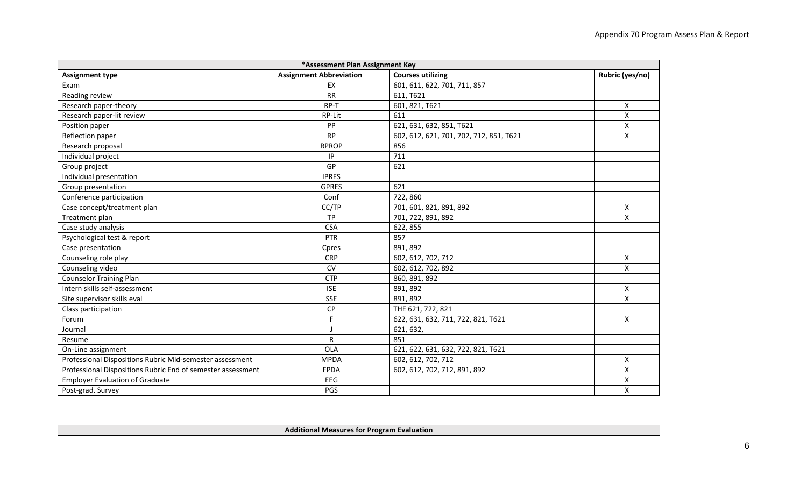| *Assessment Plan Assignment Key                             |                                |                                         |                 |  |  |  |  |
|-------------------------------------------------------------|--------------------------------|-----------------------------------------|-----------------|--|--|--|--|
| <b>Assignment type</b>                                      | <b>Assignment Abbreviation</b> | <b>Courses utilizing</b>                | Rubric (yes/no) |  |  |  |  |
| Exam                                                        | EX                             | 601, 611, 622, 701, 711, 857            |                 |  |  |  |  |
| Reading review                                              | <b>RR</b>                      | 611, T621                               |                 |  |  |  |  |
| Research paper-theory                                       | RP-T                           | 601, 821, T621                          | X               |  |  |  |  |
| Research paper-lit review                                   | RP-Lit                         | 611                                     | X               |  |  |  |  |
| Position paper                                              | PP                             | 621, 631, 632, 851, T621                | X               |  |  |  |  |
| Reflection paper                                            | <b>RP</b>                      | 602, 612, 621, 701, 702, 712, 851, T621 | X               |  |  |  |  |
| Research proposal                                           | <b>RPROP</b>                   | 856                                     |                 |  |  |  |  |
| Individual project                                          | IP                             | 711                                     |                 |  |  |  |  |
| Group project                                               | GP                             | 621                                     |                 |  |  |  |  |
| Individual presentation                                     | <b>IPRES</b>                   |                                         |                 |  |  |  |  |
| Group presentation                                          | <b>GPRES</b>                   | 621                                     |                 |  |  |  |  |
| Conference participation                                    | Conf                           | 722,860                                 |                 |  |  |  |  |
| Case concept/treatment plan                                 | CC/TP                          | 701, 601, 821, 891, 892                 | Χ               |  |  |  |  |
| Treatment plan                                              | <b>TP</b>                      | 701, 722, 891, 892                      | X               |  |  |  |  |
| Case study analysis                                         | <b>CSA</b>                     | 622, 855                                |                 |  |  |  |  |
| Psychological test & report                                 | PTR                            | 857                                     |                 |  |  |  |  |
| Case presentation                                           | Cpres                          | 891, 892                                |                 |  |  |  |  |
| Counseling role play                                        | <b>CRP</b>                     | 602, 612, 702, 712                      | X               |  |  |  |  |
| Counseling video                                            | <b>CV</b>                      | 602, 612, 702, 892                      | X               |  |  |  |  |
| <b>Counselor Training Plan</b>                              | <b>CTP</b>                     | 860, 891, 892                           |                 |  |  |  |  |
| Intern skills self-assessment                               | <b>ISE</b>                     | 891, 892                                | X               |  |  |  |  |
| Site supervisor skills eval                                 | <b>SSE</b>                     | 891, 892                                | X               |  |  |  |  |
| Class participation                                         | CP                             | THE 621, 722, 821                       |                 |  |  |  |  |
| Forum                                                       | $\mathsf F$                    | 622, 631, 632, 711, 722, 821, T621      | X               |  |  |  |  |
| Journal                                                     | $\mathsf{J}$                   | 621, 632,                               |                 |  |  |  |  |
| Resume                                                      | R                              | 851                                     |                 |  |  |  |  |
| On-Line assignment                                          | OLA                            | 621, 622, 631, 632, 722, 821, T621      |                 |  |  |  |  |
| Professional Dispositions Rubric Mid-semester assessment    | <b>MPDA</b>                    | 602, 612, 702, 712                      | Χ               |  |  |  |  |
| Professional Dispositions Rubric End of semester assessment | <b>FPDA</b>                    | 602, 612, 702, 712, 891, 892            | X               |  |  |  |  |
| <b>Employer Evaluation of Graduate</b>                      | EEG                            |                                         | Χ               |  |  |  |  |
| Post-grad. Survey                                           | PGS                            |                                         | X               |  |  |  |  |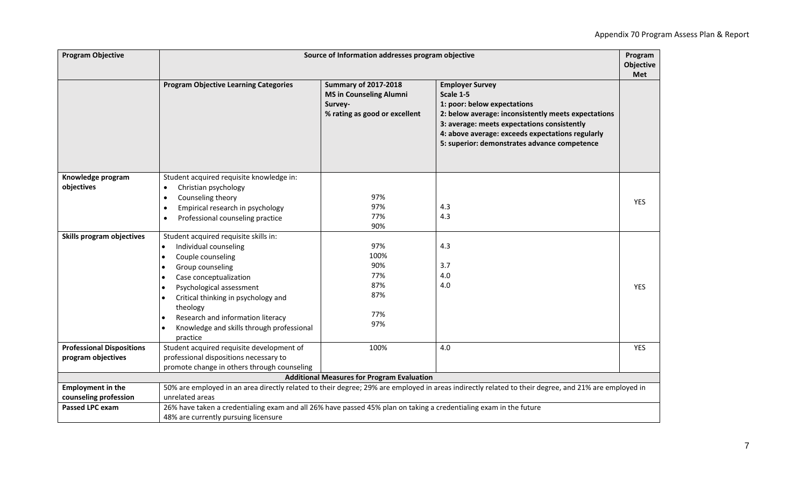| <b>Program Objective</b>                               |                                                                                                                                                                                                                                                                                                                             | Source of Information addresses program objective                                                         |                                                                                                                                                                                                                                                                              | Program<br><b>Objective</b><br><b>Met</b> |
|--------------------------------------------------------|-----------------------------------------------------------------------------------------------------------------------------------------------------------------------------------------------------------------------------------------------------------------------------------------------------------------------------|-----------------------------------------------------------------------------------------------------------|------------------------------------------------------------------------------------------------------------------------------------------------------------------------------------------------------------------------------------------------------------------------------|-------------------------------------------|
|                                                        | <b>Program Objective Learning Categories</b>                                                                                                                                                                                                                                                                                | <b>Summary of 2017-2018</b><br><b>MS in Counseling Alumni</b><br>Survey-<br>% rating as good or excellent | <b>Employer Survey</b><br>Scale 1-5<br>1: poor: below expectations<br>2: below average: inconsistently meets expectations<br>3: average: meets expectations consistently<br>4: above average: exceeds expectations regularly<br>5: superior: demonstrates advance competence |                                           |
| Knowledge program<br>objectives                        | Student acquired requisite knowledge in:<br>Christian psychology<br>$\bullet$<br>Counseling theory<br>$\bullet$<br>Empirical research in psychology<br>$\bullet$<br>Professional counseling practice<br>$\bullet$                                                                                                           | 97%<br>97%<br>77%<br>90%                                                                                  | 4.3<br>4.3                                                                                                                                                                                                                                                                   | <b>YES</b>                                |
| Skills program objectives                              | Student acquired requisite skills in:<br>Individual counseling<br>$\bullet$<br>Couple counseling<br>Group counseling<br>Case conceptualization<br>Psychological assessment<br>Critical thinking in psychology and<br>theology<br>Research and information literacy<br>Knowledge and skills through professional<br>practice | 97%<br>100%<br>90%<br>77%<br>87%<br>87%<br>77%<br>97%                                                     | 4.3<br>3.7<br>4.0<br>4.0                                                                                                                                                                                                                                                     | <b>YES</b>                                |
| <b>Professional Dispositions</b><br>program objectives | Student acquired requisite development of<br>professional dispositions necessary to<br>promote change in others through counseling                                                                                                                                                                                          | 100%                                                                                                      | 4.0                                                                                                                                                                                                                                                                          | <b>YES</b>                                |
|                                                        |                                                                                                                                                                                                                                                                                                                             | <b>Additional Measures for Program Evaluation</b>                                                         |                                                                                                                                                                                                                                                                              |                                           |
| <b>Employment in the</b><br>counseling profession      | unrelated areas                                                                                                                                                                                                                                                                                                             |                                                                                                           | 50% are employed in an area directly related to their degree; 29% are employed in areas indirectly related to their degree, and 21% are employed in                                                                                                                          |                                           |
| Passed LPC exam                                        | 26% have taken a credentialing exam and all 26% have passed 45% plan on taking a credentialing exam in the future<br>48% are currently pursuing licensure                                                                                                                                                                   |                                                                                                           |                                                                                                                                                                                                                                                                              |                                           |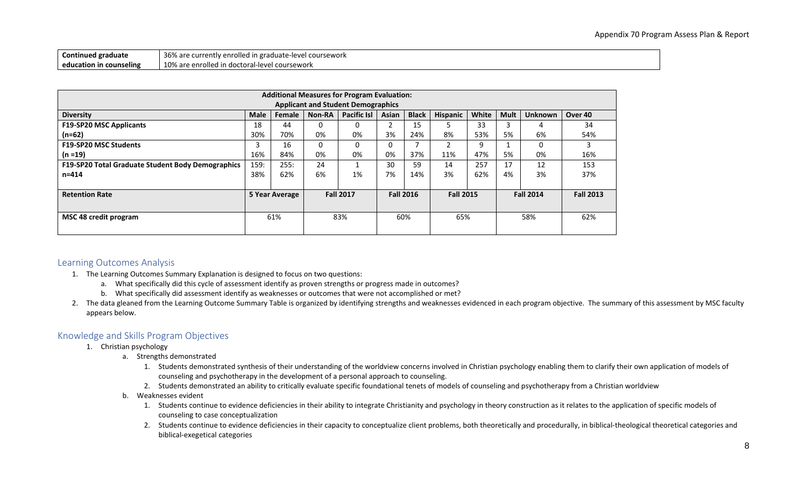| Continued graduate      | 36% are currently enrolled in graduate-level coursework |
|-------------------------|---------------------------------------------------------|
| education in counseling | 10% are enrolled in doctoral-level coursework           |

| <b>Additional Measures for Program Evaluation:</b> |             |                |        |                    |       |                  |                  |       |             |                  |                  |
|----------------------------------------------------|-------------|----------------|--------|--------------------|-------|------------------|------------------|-------|-------------|------------------|------------------|
| <b>Applicant and Student Demographics</b>          |             |                |        |                    |       |                  |                  |       |             |                  |                  |
| <b>Diversity</b>                                   | <b>Male</b> | Female         | Non-RA | <b>Pacific Isl</b> | Asian | <b>Black</b>     | <b>Hispanic</b>  | White | <b>Mult</b> | <b>Unknown</b>   | Over 40          |
| <b>F19-SP20 MSC Applicants</b>                     | 18          | 44             | 0      | 0                  | 2     | 15               |                  | 33    | 3           | 4                | 34               |
| $(n=62)$                                           | 30%         | 70%            | 0%     | 0%                 | 3%    | 24%              | 8%               | 53%   | 5%          | 6%               | 54%              |
| <b>F19-SP20 MSC Students</b>                       | 3           | 16             | 0      | 0                  | 0     |                  | ຳ                | 9     |             | 0                | 3                |
| $(n = 19)$                                         | 16%         | 84%            | 0%     | 0%                 | 0%    | 37%              | 11%              | 47%   | 5%          | 0%               | 16%              |
| F19-SP20 Total Graduate Student Body Demographics  | 159:        | 255:           | 24     |                    | 30    | 59               | 14               | 257   | 17          | 12               | 153              |
| $n = 414$                                          | 38%         | 62%            | 6%     | 1%                 | 7%    | 14%              | 3%               | 62%   | 4%          | 3%               | 37%              |
|                                                    |             |                |        |                    |       |                  |                  |       |             |                  |                  |
| <b>Retention Rate</b>                              |             | 5 Year Average |        | <b>Fall 2017</b>   |       | <b>Fall 2016</b> | <b>Fall 2015</b> |       |             | <b>Fall 2014</b> | <b>Fall 2013</b> |
|                                                    |             |                |        |                    |       |                  |                  |       |             |                  |                  |
| <b>MSC 48 credit program</b>                       |             | 61%            |        | 83%                |       | 60%              | 65%              |       |             | 58%              | 62%              |
|                                                    |             |                |        |                    |       |                  |                  |       |             |                  |                  |

### <span id="page-7-0"></span>Learning Outcomes Analysis

- 1. The Learning Outcomes Summary Explanation is designed to focus on two questions:
	- a. What specifically did this cycle of assessment identify as proven strengths or progress made in outcomes?
	- b. What specifically did assessment identify as weaknesses or outcomes that were not accomplished or met?
- 2. The data gleaned from the Learning Outcome Summary Table is organized by identifying strengths and weaknesses evidenced in each program objective. The summary of this assessment by MSC faculty appears below.

#### <span id="page-7-1"></span>Knowledge and Skills Program Objectives

- 1. Christian psychology
	- a. Strengths demonstrated
		- 1. Students demonstrated synthesis of their understanding of the worldview concerns involved in Christian psychology enabling them to clarify their own application of models of counseling and psychotherapy in the development of a personal approach to counseling.
		- 2. Students demonstrated an ability to critically evaluate specific foundational tenets of models of counseling and psychotherapy from a Christian worldview
	- b. Weaknesses evident
		- 1. Students continue to evidence deficiencies in their ability to integrate Christianity and psychology in theory construction as it relates to the application of specific models of counseling to case conceptualization
		- 2. Students continue to evidence deficiencies in their capacity to conceptualize client problems, both theoretically and procedurally, in biblical-theological theoretical categories and biblical-exegetical categories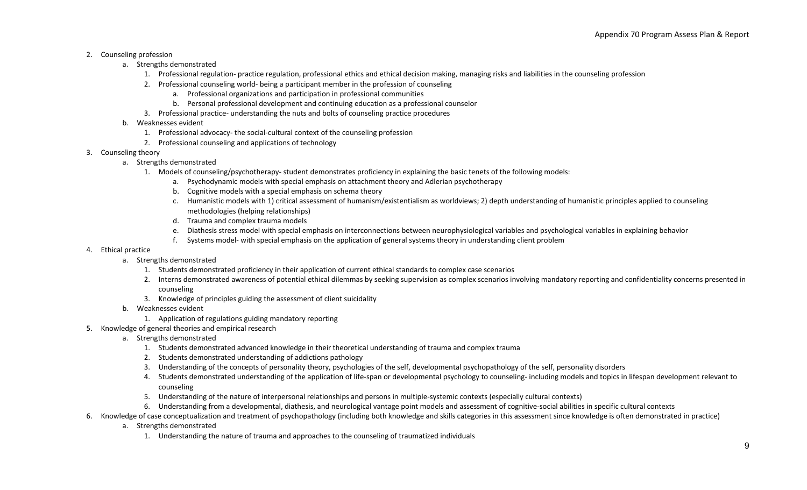#### 2. Counseling profession

- a. Strengths demonstrated
	- 1. Professional regulation- practice regulation, professional ethics and ethical decision making, managing risks and liabilities in the counseling profession
	- 2. Professional counseling world- being a participant member in the profession of counseling
		- a. Professional organizations and participation in professional communities
		- b. Personal professional development and continuing education as a professional counselor
	- 3. Professional practice- understanding the nuts and bolts of counseling practice procedures
- b. Weaknesses evident
	- 1. Professional advocacy- the social-cultural context of the counseling profession
	- 2. Professional counseling and applications of technology
- 3. Counseling theory
	- a. Strengths demonstrated
		- 1. Models of counseling/psychotherapy- student demonstrates proficiency in explaining the basic tenets of the following models:
			- a. Psychodynamic models with special emphasis on attachment theory and Adlerian psychotherapy
			- b. Cognitive models with a special emphasis on schema theory
			- c. Humanistic models with 1) critical assessment of humanism/existentialism as worldviews; 2) depth understanding of humanistic principles applied to counseling methodologies (helping relationships)
			- d. Trauma and complex trauma models
			- e. Diathesis stress model with special emphasis on interconnections between neurophysiological variables and psychological variables in explaining behavior
			- f. Systems model- with special emphasis on the application of general systems theory in understanding client problem
- 4. Ethical practice
	- a. Strengths demonstrated
		- 1. Students demonstrated proficiency in their application of current ethical standards to complex case scenarios
		- 2. Interns demonstrated awareness of potential ethical dilemmas by seeking supervision as complex scenarios involving mandatory reporting and confidentiality concerns presented in counseling
		- 3. Knowledge of principles guiding the assessment of client suicidality
	- b. Weaknesses evident
		- 1. Application of regulations guiding mandatory reporting
- 5. Knowledge of general theories and empirical research
	- a. Strengths demonstrated
		- 1. Students demonstrated advanced knowledge in their theoretical understanding of trauma and complex trauma
		- 2. Students demonstrated understanding of addictions pathology
		- 3. Understanding of the concepts of personality theory, psychologies of the self, developmental psychopathology of the self, personality disorders
		- 4. Students demonstrated understanding of the application of life-span or developmental psychology to counseling- including models and topics in lifespan development relevant to counseling
		- 5. Understanding of the nature of interpersonal relationships and persons in multiple-systemic contexts (especially cultural contexts)
		- 6. Understanding from a developmental, diathesis, and neurological vantage point models and assessment of cognitive-social abilities in specific cultural contexts
- 6. Knowledge of case conceptualization and treatment of psychopathology (including both knowledge and skills categories in this assessment since knowledge is often demonstrated in practice)
	- a. Strengths demonstrated
		- 1. Understanding the nature of trauma and approaches to the counseling of traumatized individuals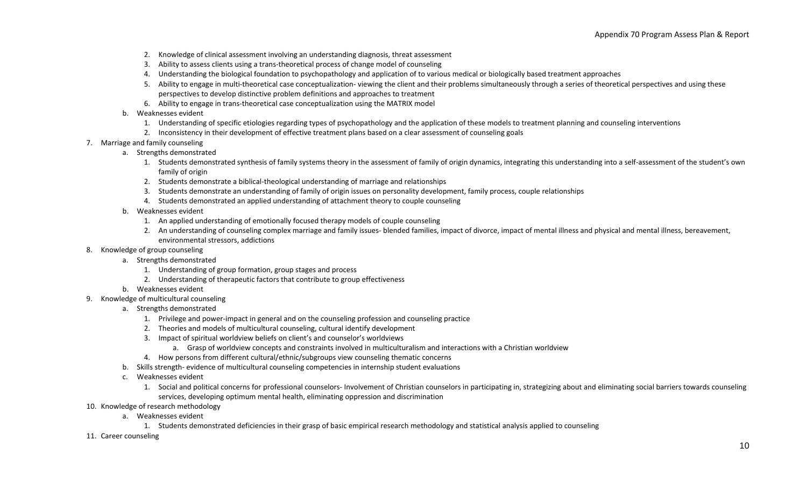- 2. Knowledge of clinical assessment involving an understanding diagnosis, threat assessment
- 3. Ability to assess clients using a trans-theoretical process of change model of counseling
- 4. Understanding the biological foundation to psychopathology and application of to various medical or biologically based treatment approaches
- 5. Ability to engage in multi-theoretical case conceptualization- viewing the client and their problems simultaneously through a series of theoretical perspectives and using these perspectives to develop distinctive problem definitions and approaches to treatment
- 6. Ability to engage in trans-theoretical case conceptualization using the MATRIX model
- b. Weaknesses evident
	- 1. Understanding of specific etiologies regarding types of psychopathology and the application of these models to treatment planning and counseling interventions
	- 2. Inconsistency in their development of effective treatment plans based on a clear assessment of counseling goals
- 7. Marriage and family counseling
	- a. Strengths demonstrated
		- 1. Students demonstrated synthesis of family systems theory in the assessment of family of origin dynamics, integrating this understanding into a self-assessment of the student's own family of origin
		- 2. Students demonstrate a biblical-theological understanding of marriage and relationships
		- 3. Students demonstrate an understanding of family of origin issues on personality development, family process, couple relationships
		- 4. Students demonstrated an applied understanding of attachment theory to couple counseling
	- b. Weaknesses evident
		- 1. An applied understanding of emotionally focused therapy models of couple counseling
		- 2. An understanding of counseling complex marriage and family issues- blended families, impact of divorce, impact of mental illness and physical and mental illness, bereavement, environmental stressors, addictions
- 8. Knowledge of group counseling
	- a. Strengths demonstrated
		- 1. Understanding of group formation, group stages and process
		- 2. Understanding of therapeutic factors that contribute to group effectiveness
	- b. Weaknesses evident
- 9. Knowledge of multicultural counseling
	- a. Strengths demonstrated
		- 1. Privilege and power-impact in general and on the counseling profession and counseling practice
		- 2. Theories and models of multicultural counseling, cultural identify development
		- 3. Impact of spiritual worldview beliefs on client's and counselor's worldviews
			- a. Grasp of worldview concepts and constraints involved in multiculturalism and interactions with a Christian worldview
		- 4. How persons from different cultural/ethnic/subgroups view counseling thematic concerns
	- b. Skills strength- evidence of multicultural counseling competencies in internship student evaluations
	- c. Weaknesses evident
		- 1. Social and political concerns for professional counselors- Involvement of Christian counselors in participating in, strategizing about and eliminating social barriers towards counseling services, developing optimum mental health, eliminating oppression and discrimination
- 10. Knowledge of research methodology
	- a. Weaknesses evident
		- 1. Students demonstrated deficiencies in their grasp of basic empirical research methodology and statistical analysis applied to counseling
- 11. Career counseling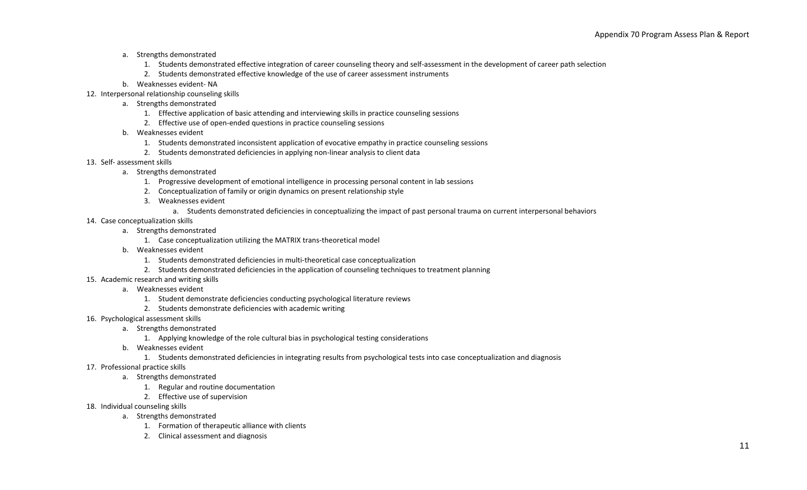- a. Strengths demonstrated
	- 1. Students demonstrated effective integration of career counseling theory and self-assessment in the development of career path selection
	- 2. Students demonstrated effective knowledge of the use of career assessment instruments
- b. Weaknesses evident- NA
- 12. Interpersonal relationship counseling skills
	- a. Strengths demonstrated
		- 1. Effective application of basic attending and interviewing skills in practice counseling sessions
		- 2. Effective use of open-ended questions in practice counseling sessions
	- b. Weaknesses evident
		- 1. Students demonstrated inconsistent application of evocative empathy in practice counseling sessions
		- 2. Students demonstrated deficiencies in applying non-linear analysis to client data
- 13. Self- assessment skills
	- a. Strengths demonstrated
		- 1. Progressive development of emotional intelligence in processing personal content in lab sessions
		- 2. Conceptualization of family or origin dynamics on present relationship style
		- 3. Weaknesses evident
			- a. Students demonstrated deficiencies in conceptualizing the impact of past personal trauma on current interpersonal behaviors
- 14. Case conceptualization skills
	- a. Strengths demonstrated
		- 1. Case conceptualization utilizing the MATRIX trans-theoretical model
	- b. Weaknesses evident
		- 1. Students demonstrated deficiencies in multi-theoretical case conceptualization
		- 2. Students demonstrated deficiencies in the application of counseling techniques to treatment planning
- 15. Academic research and writing skills
	- a. Weaknesses evident
		- 1. Student demonstrate deficiencies conducting psychological literature reviews
		- 2. Students demonstrate deficiencies with academic writing
- 16. Psychological assessment skills
	- a. Strengths demonstrated
		- 1. Applying knowledge of the role cultural bias in psychological testing considerations
	- b. Weaknesses evident
		- 1. Students demonstrated deficiencies in integrating results from psychological tests into case conceptualization and diagnosis
- 17. Professional practice skills
	- a. Strengths demonstrated
		- 1. Regular and routine documentation
		- 2. Effective use of supervision
- 18. Individual counseling skills
	- a. Strengths demonstrated
		- 1. Formation of therapeutic alliance with clients
		- 2. Clinical assessment and diagnosis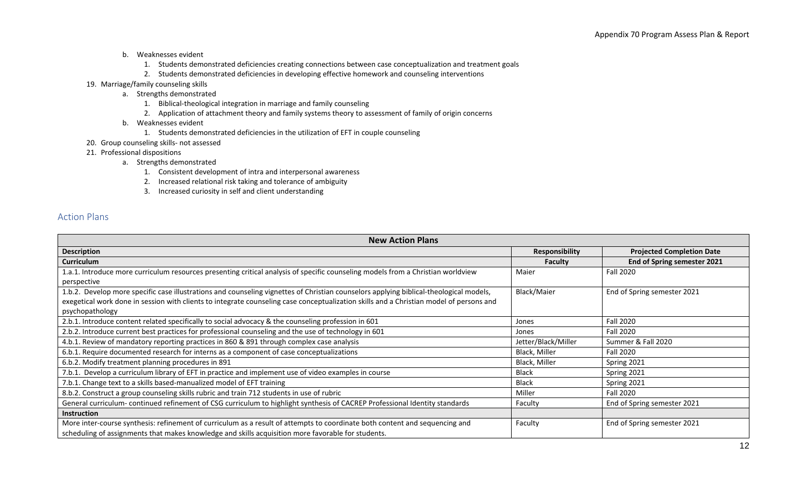- b. Weaknesses evident
	- 1. Students demonstrated deficiencies creating connections between case conceptualization and treatment goals
	- 2. Students demonstrated deficiencies in developing effective homework and counseling interventions
- 19. Marriage/family counseling skills
	- a. Strengths demonstrated
		- 1. Biblical-theological integration in marriage and family counseling
		- 2. Application of attachment theory and family systems theory to assessment of family of origin concerns
	- b. Weaknesses evident
		- 1. Students demonstrated deficiencies in the utilization of EFT in couple counseling
- 20. Group counseling skills- not assessed
- 21. Professional dispositions
	- a. Strengths demonstrated
		- 1. Consistent development of intra and interpersonal awareness
		- 2. Increased relational risk taking and tolerance of ambiguity
		- 3. Increased curiosity in self and client understanding

#### <span id="page-11-0"></span>Action Plans

| <b>New Action Plans</b>                                                                                                                 |                       |                                  |  |  |  |  |
|-----------------------------------------------------------------------------------------------------------------------------------------|-----------------------|----------------------------------|--|--|--|--|
| <b>Description</b>                                                                                                                      | <b>Responsibility</b> | <b>Projected Completion Date</b> |  |  |  |  |
| <b>Curriculum</b>                                                                                                                       | <b>Faculty</b>        | End of Spring semester 2021      |  |  |  |  |
| 1.a.1. Introduce more curriculum resources presenting critical analysis of specific counseling models from a Christian worldview        | Maier                 | Fall 2020                        |  |  |  |  |
| perspective                                                                                                                             |                       |                                  |  |  |  |  |
| 1.b.2. Develop more specific case illustrations and counseling vignettes of Christian counselors applying biblical-theological models,  | Black/Maier           | End of Spring semester 2021      |  |  |  |  |
| exegetical work done in session with clients to integrate counseling case conceptualization skills and a Christian model of persons and |                       |                                  |  |  |  |  |
| psychopathology                                                                                                                         |                       |                                  |  |  |  |  |
| 2.b.1. Introduce content related specifically to social advocacy & the counseling profession in 601                                     | Jones                 | Fall 2020                        |  |  |  |  |
| 2.b.2. Introduce current best practices for professional counseling and the use of technology in 601                                    | Jones                 | Fall 2020                        |  |  |  |  |
| 4.b.1. Review of mandatory reporting practices in 860 & 891 through complex case analysis                                               | Jetter/Black/Miller   | Summer & Fall 2020               |  |  |  |  |
| 6.b.1. Require documented research for interns as a component of case conceptualizations                                                | Black, Miller         | Fall 2020                        |  |  |  |  |
| 6.b.2. Modify treatment planning procedures in 891                                                                                      | Black, Miller         | Spring 2021                      |  |  |  |  |
| 7.b.1. Develop a curriculum library of EFT in practice and implement use of video examples in course                                    | <b>Black</b>          | Spring 2021                      |  |  |  |  |
| 7.b.1. Change text to a skills based-manualized model of EFT training                                                                   | <b>Black</b>          | Spring 2021                      |  |  |  |  |
| 8.b.2. Construct a group counseling skills rubric and train 712 students in use of rubric                                               | Miller                | Fall 2020                        |  |  |  |  |
| General curriculum-continued refinement of CSG curriculum to highlight synthesis of CACREP Professional Identity standards              | Faculty               | End of Spring semester 2021      |  |  |  |  |
| <b>Instruction</b>                                                                                                                      |                       |                                  |  |  |  |  |
| More inter-course synthesis: refinement of curriculum as a result of attempts to coordinate both content and sequencing and             | Faculty               | End of Spring semester 2021      |  |  |  |  |
| scheduling of assignments that makes knowledge and skills acquisition more favorable for students.                                      |                       |                                  |  |  |  |  |